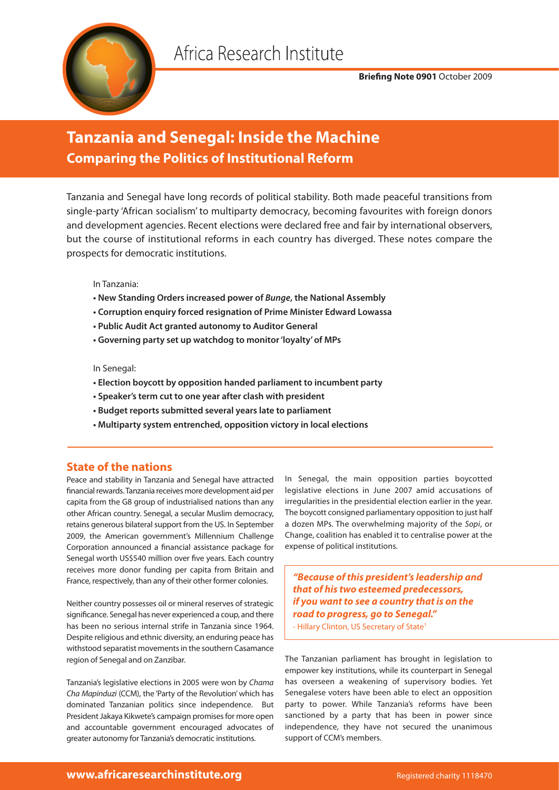

### **Briefing Note 0901** October 2009

# **Tanzania and Senegal: Inside the Machine Comparing the Politics of Institutional Reform**

Tanzania and Senegal have long records of political stability. Both made peaceful transitions from single-party 'African socialism' to multiparty democracy, becoming favourites with foreign donors and development agencies. Recent elections were declared free and fair by international observers, but the course of institutional reforms in each country has diverged. These notes compare the prospects for democratic institutions.

In Tanzania:

- **New Standing Orders increased power of** *Bunge***, the National Assembly**
- **Corruption enquiry forced resignation of Prime Minister Edward Lowassa**
- **Public Audit Act granted autonomy to Auditor General**
- **Governing party set up watchdog to monitor 'loyalty' of MPs**

In Senegal:

- **Election boycott by opposition handed parliament to incumbent party**
- **Speaker's term cut to one year after clash with president**
- **Budget reports submitted several years late to parliament**
- **Multiparty system entrenched, opposition victory in local elections**

## **State of the nations**

Peace and stability in Tanzania and Senegal have attracted financial rewards. Tanzania receives more development aid per capita from the G8 group of industrialised nations than any other African country. Senegal, a secular Muslim democracy, retains generous bilateral support from the US. In September 2009, the American government's Millennium Challenge Corporation announced a financial assistance package for Senegal worth US\$540 million over five years. Each country receives more donor funding per capita from Britain and France, respectively, than any of their other former colonies.

Neither country possesses oil or mineral reserves of strategic significance. Senegal has never experienced a coup, and there has been no serious internal strife in Tanzania since 1964. Despite religious and ethnic diversity, an enduring peace has withstood separatist movements in the southern Casamance region of Senegal and on Zanzibar.

Tanzania's legislative elections in 2005 were won by *Chama Cha Mapinduzi* (CCM), the 'Party of the Revolution' which has dominated Tanzanian politics since independence. But President Jakaya Kikwete's campaign promises for more open and accountable government encouraged advocates of greater autonomy for Tanzania's democratic institutions.

In Senegal, the main opposition parties boycotted legislative elections in June 2007 amid accusations of irregularities in the presidential election earlier in the year. The boycott consigned parliamentary opposition to just half a dozen MPs. The overwhelming majority of the *Sopi*, or Change, coalition has enabled it to centralise power at the expense of political institutions.

*"Because of this president's leadership and that of his two esteemed predecessors, if you want to see a country that is on the road to progress, go to Senegal."*

- Hillary Clinton, US Secretary of State<sup>1</sup>

The Tanzanian parliament has brought in legislation to empower key institutions, while its counterpart in Senegal has overseen a weakening of supervisory bodies. Yet Senegalese voters have been able to elect an opposition party to power. While Tanzania's reforms have been sanctioned by a party that has been in power since independence, they have not secured the unanimous support of CCM's members.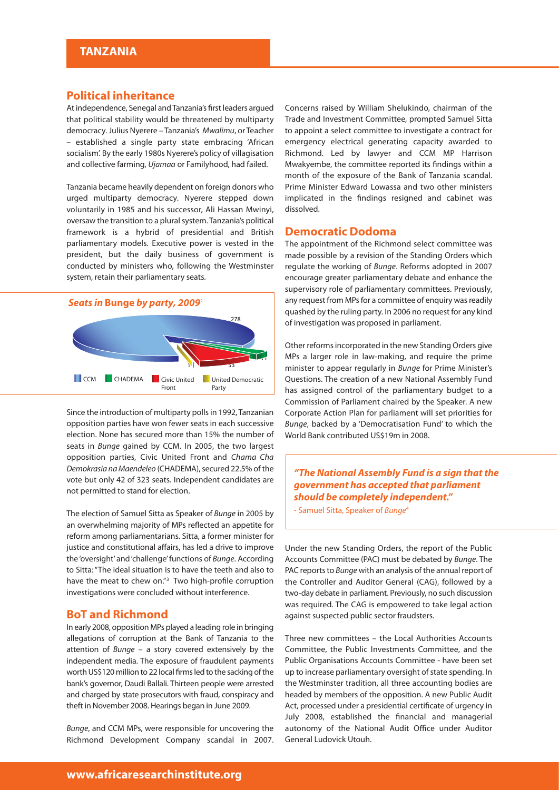### **Political inheritance**

At independence, Senegal and Tanzania's first leaders argued that political stability would be threatened by multiparty democracy. Julius Nyerere – Tanzania's *Mwalimu*, or Teacher – established a single party state embracing 'African socialism'. By the early 1980s Nyerere's policy of villagisation and collective farming, *Ujamaa* or Familyhood, had failed.

Tanzania became heavily dependent on foreign donors who urged multiparty democracy. Nyerere stepped down voluntarily in 1985 and his successor, Ali Hassan Mwinyi, oversaw the transition to a plural system. Tanzania's political framework is a hybrid of presidential and British parliamentary models. Executive power is vested in the president, but the daily business of government is conducted by ministers who, following the Westminster system, retain their parliamentary seats.



Since the introduction of multiparty polls in 1992, Tanzanian opposition parties have won fewer seats in each successive election. None has secured more than 15% the number of seats in *Bunge* gained by CCM. In 2005, the two largest opposition parties, Civic United Front and *Chama Cha Demokrasia na Maendeleo* (CHADEMA), secured 22.5% of the vote but only 42 of 323 seats. Independent candidates are not permitted to stand for election.

The election of Samuel Sitta as Speaker of *Bunge* in 2005 by an overwhelming majority of MPs reflected an appetite for reform among parliamentarians. Sitta, a former minister for justice and constitutional affairs, has led a drive to improve the 'oversight' and 'challenge' functions of *Bunge*. According to Sitta: "The ideal situation is to have the teeth and also to have the meat to chew on."3 Two high-profile corruption investigations were concluded without interference.

### **BoT and Richmond**

In early 2008, opposition MPs played a leading role in bringing allegations of corruption at the Bank of Tanzania to the attention of *Bunge* – a story covered extensively by the independent media. The exposure of fraudulent payments worth US\$120 million to 22 local firms led to the sacking of the bank's governor, Daudi Ballali. Thirteen people were arrested and charged by state prosecutors with fraud, conspiracy and theft in November 2008. Hearings began in June 2009.

*Bunge*, and CCM MPs, were responsible for uncovering the Richmond Development Company scandal in 2007.

Concerns raised by William Shelukindo, chairman of the Trade and Investment Committee, prompted Samuel Sitta to appoint a select committee to investigate a contract for emergency electrical generating capacity awarded to Richmond. Led by lawyer and CCM MP Harrison Mwakyembe, the committee reported its findings within a month of the exposure of the Bank of Tanzania scandal. Prime Minister Edward Lowassa and two other ministers implicated in the findings resigned and cabinet was dissolved.

#### **Democratic Dodoma**

The appointment of the Richmond select committee was made possible by a revision of the Standing Orders which regulate the working of *Bunge*. Reforms adopted in 2007 encourage greater parliamentary debate and enhance the supervisory role of parliamentary committees. Previously, any request from MPs for a committee of enquiry was readily quashed by the ruling party. In 2006 no request for any kind of investigation was proposed in parliament.

Other reforms incorporated in the new Standing Orders give MPs a larger role in law-making, and require the prime minister to appear regularly in *Bunge* for Prime Minister's Questions. The creation of a new National Assembly Fund has assigned control of the parliamentary budget to a Commission of Parliament chaired by the Speaker. A new Corporate Action Plan for parliament will set priorities for *Bunge*, backed by a 'Democratisation Fund' to which the World Bank contributed US\$19m in 2008.

*"The National Assembly Fund is a sign that the government has accepted that parliament should be completely independent."*

- Samuel Sitta, Speaker of *Bunge*<sup>4</sup>

Under the new Standing Orders, the report of the Public Accounts Committee (PAC) must be debated by *Bunge*. The PAC reports to *Bunge* with an analysis of the annual report of the Controller and Auditor General (CAG), followed by a two-day debate in parliament. Previously, no such discussion was required. The CAG is empowered to take legal action against suspected public sector fraudsters.

Three new committees – the Local Authorities Accounts Committee, the Public Investments Committee, and the Public Organisations Accounts Committee - have been set up to increase parliamentary oversight of state spending. In the Westminster tradition, all three accounting bodies are headed by members of the opposition. A new Public Audit Act, processed under a presidential certificate of urgency in July 2008, established the financial and managerial autonomy of the National Audit Office under Auditor General Ludovick Utouh.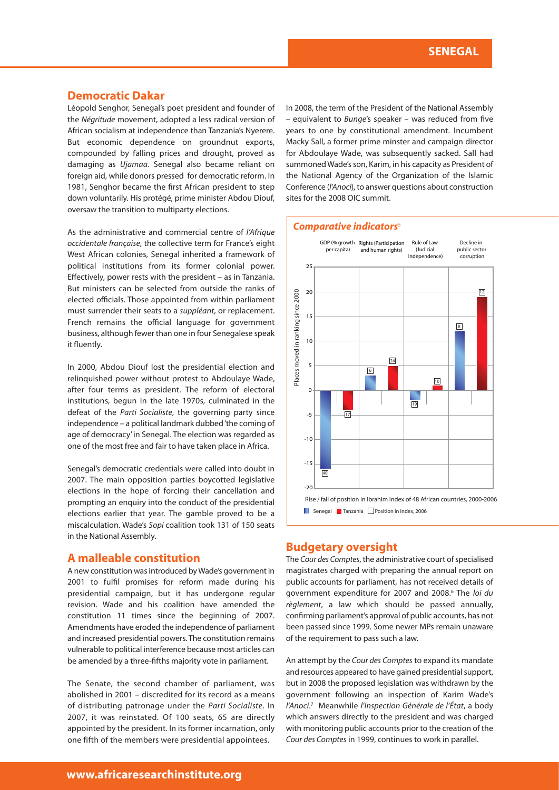#### **Democratic Dakar**

Léopold Senghor, Senegal's poet president and founder of the *Négritude* movement, adopted a less radical version of African socialism at independence than Tanzania's Nyerere. But economic dependence on groundnut exports, compounded by falling prices and drought, proved as damaging as *Ujamaa*. Senegal also became reliant on foreign aid, while donors pressed for democratic reform. In 1981, Senghor became the first African president to step down voluntarily. His protégé, prime minister Abdou Diouf, oversaw the transition to multiparty elections.

As the administrative and commercial centre of *l'Afrique occidentale française*, the collective term for France's eight West African colonies, Senegal inherited a framework of political institutions from its former colonial power. Effectively, power rests with the president – as in Tanzania. But ministers can be selected from outside the ranks of elected officials. Those appointed from within parliament must surrender their seats to a *suppléant*, or replacement. French remains the official language for government business, although fewer than one in four Senegalese speak it fluently.

In 2000, Abdou Diouf lost the presidential election and relinquished power without protest to Abdoulaye Wade, after four terms as president. The reform of electoral institutions, begun in the late 1970s, culminated in the defeat of the *Parti Socialiste*, the governing party since independence – a political landmark dubbed 'the coming of age of democracy' in Senegal. The election was regarded as one of the most free and fair to have taken place in Africa.

Senegal's democratic credentials were called into doubt in 2007. The main opposition parties boycotted legislative elections in the hope of forcing their cancellation and prompting an enquiry into the conduct of the presidential elections earlier that year. The gamble proved to be a miscalculation. Wade's *Sopi* coalition took 131 of 150 seats in the National Assembly.

## **A malleable constitution**

A new constitution was introduced by Wade's government in 2001 to fulfil promises for reform made during his presidential campaign, but it has undergone regular revision. Wade and his coalition have amended the constitution 11 times since the beginning of 2007. Amendments have eroded the independence of parliament and increased presidential powers. The constitution remains vulnerable to political interference because most articles can be amended by a three-fifths majority vote in parliament.

The Senate, the second chamber of parliament, was abolished in 2001 – discredited for its record as a means of distributing patronage under the *Parti Socialiste*. In 2007, it was reinstated. Of 100 seats, 65 are directly appointed by the president. In its former incarnation, only one fifth of the members were presidential appointees.

In 2008, the term of the President of the National Assembly – equivalent to *Bunge*'s speaker – was reduced from five years to one by constitutional amendment. Incumbent Macky Sall, a former prime minster and campaign director for Abdoulaye Wade, was subsequently sacked. Sall had summoned Wade's son, Karim, in his capacity as President of the National Agency of the Organization of the Islamic Conference (*l'Anoci*), to answer questions about construction sites for the 2008 OIC summit.

#### *Comparative indicators*<sup>5</sup>



### **Budgetary oversight**

The *Cour des Comptes*, the administrative court of specialised magistrates charged with preparing the annual report on public accounts for parliament, has not received details of government expenditure for 2007 and 2008.6 The *loi du règlement*, a law which should be passed annually, confirming parliament's approval of public accounts, has not been passed since 1999. Some newer MPs remain unaware of the requirement to pass such a law.

An attempt by the *Cour des Comptes* to expand its mandate and resources appeared to have gained presidential support, but in 2008 the proposed legislation was withdrawn by the government following an inspection of Karim Wade's *l'Anoci*. <sup>7</sup> Meanwhile *l'Inspection Générale de l'État*, a body which answers directly to the president and was charged with monitoring public accounts prior to the creation of the *Cour des Comptes* in 1999, continues to work in parallel.